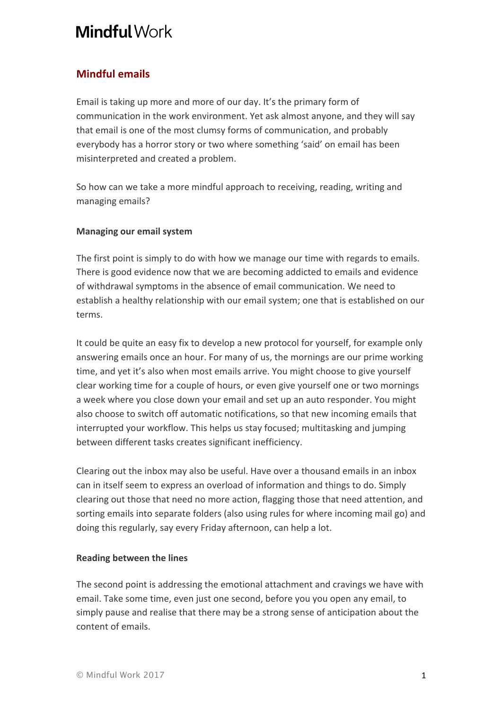# **Mindful Work**

## **Mindful emails**

Email is taking up more and more of our day. It's the primary form of communication in the work environment. Yet ask almost anyone, and they will say that email is one of the most clumsy forms of communication, and probably everybody has a horror story or two where something 'said' on email has been misinterpreted and created a problem.

So how can we take a more mindful approach to receiving, reading, writing and managing emails?

### **Managing our email system**

The first point is simply to do with how we manage our time with regards to emails. There is good evidence now that we are becoming addicted to emails and evidence of withdrawal symptoms in the absence of email communication. We need to establish a healthy relationship with our email system; one that is established on our terms. 

It could be quite an easy fix to develop a new protocol for yourself, for example only answering emails once an hour. For many of us, the mornings are our prime working time, and yet it's also when most emails arrive. You might choose to give yourself clear working time for a couple of hours, or even give yourself one or two mornings a week where you close down your email and set up an auto responder. You might also choose to switch off automatic notifications, so that new incoming emails that interrupted your workflow. This helps us stay focused; multitasking and jumping between different tasks creates significant inefficiency.

Clearing out the inbox may also be useful. Have over a thousand emails in an inbox can in itself seem to express an overload of information and things to do. Simply clearing out those that need no more action, flagging those that need attention, and sorting emails into separate folders (also using rules for where incoming mail go) and doing this regularly, say every Friday afternoon, can help a lot.

### **Reading between the lines**

The second point is addressing the emotional attachment and cravings we have with email. Take some time, even just one second, before you you open any email, to simply pause and realise that there may be a strong sense of anticipation about the content of emails.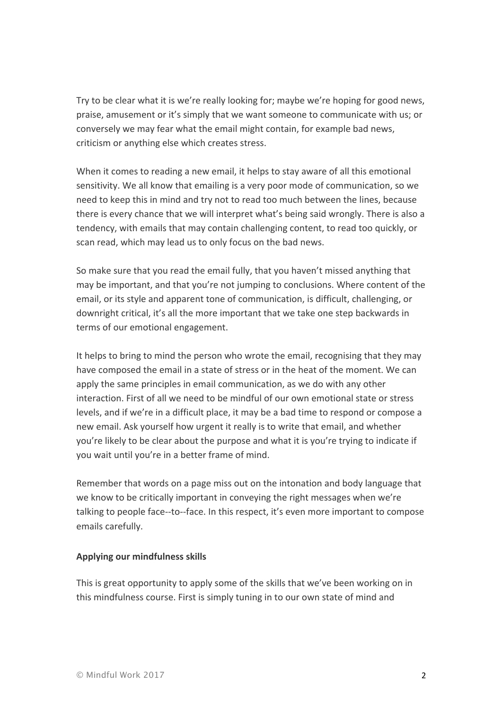Try to be clear what it is we're really looking for; maybe we're hoping for good news, praise, amusement or it's simply that we want someone to communicate with us; or conversely we may fear what the email might contain, for example bad news, criticism or anything else which creates stress.

When it comes to reading a new email, it helps to stay aware of all this emotional sensitivity. We all know that emailing is a very poor mode of communication, so we need to keep this in mind and try not to read too much between the lines, because there is every chance that we will interpret what's being said wrongly. There is also a tendency, with emails that may contain challenging content, to read too quickly, or scan read, which may lead us to only focus on the bad news.

So make sure that you read the email fully, that you haven't missed anything that may be important, and that you're not jumping to conclusions. Where content of the email, or its style and apparent tone of communication, is difficult, challenging, or downright critical, it's all the more important that we take one step backwards in terms of our emotional engagement.

It helps to bring to mind the person who wrote the email, recognising that they may have composed the email in a state of stress or in the heat of the moment. We can apply the same principles in email communication, as we do with any other interaction. First of all we need to be mindful of our own emotional state or stress levels, and if we're in a difficult place, it may be a bad time to respond or compose a new email. Ask yourself how urgent it really is to write that email, and whether you're likely to be clear about the purpose and what it is you're trying to indicate if you wait until you're in a better frame of mind.

Remember that words on a page miss out on the intonation and body language that we know to be critically important in conveying the right messages when we're talking to people face--to--face. In this respect, it's even more important to compose emails carefully.

#### **Applying our mindfulness skills**

This is great opportunity to apply some of the skills that we've been working on in this mindfulness course. First is simply tuning in to our own state of mind and